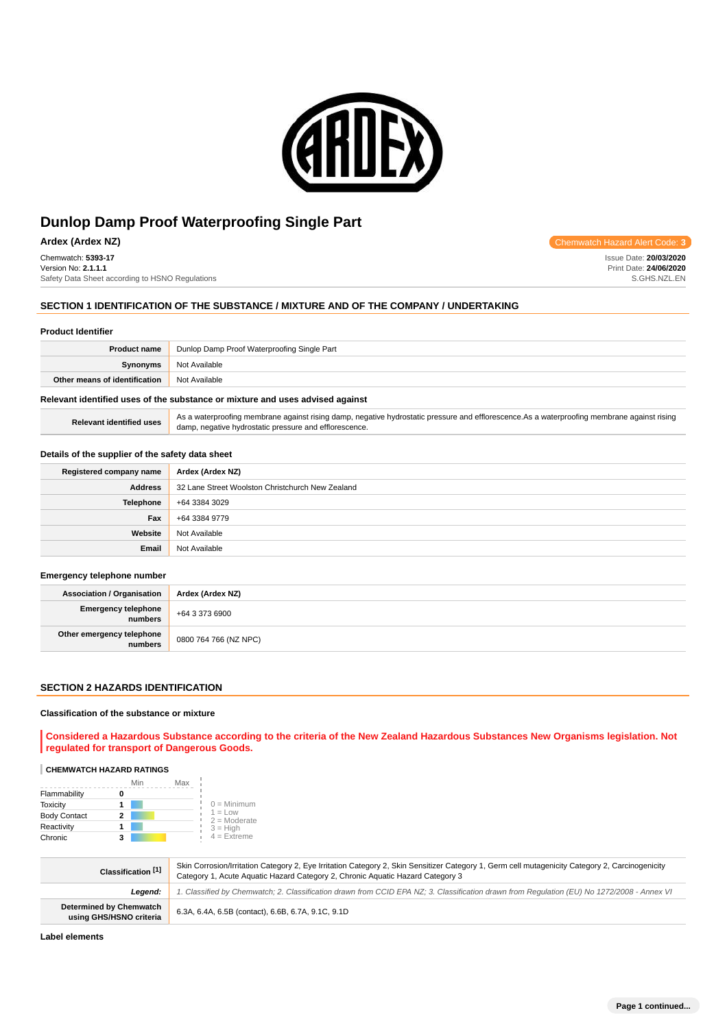

**Ardex (Ardex NZ) Chemwatch Hazard Alert Code: 3** 

Chemwatch: **5393-17** Version No: **2.1.1.1** Safety Data Sheet according to HSNO Regulations

# **SECTION 1 IDENTIFICATION OF THE SUBSTANCE / MIXTURE AND OF THE COMPANY / UNDERTAKING**

#### **Product Identifier**

| <b>Product name</b>           | Dunlop Damp Proof Waterproofing Single Part |  |
|-------------------------------|---------------------------------------------|--|
| Synonyms                      | Not Available                               |  |
| Other means of identification | Not Available                               |  |
|                               |                                             |  |

# **Relevant identified uses of the substance or mixture and uses advised against**

| Relevant identified uses | As a waterproofing membrane against rising damp, negative hydrostatic pressure and efflorescence. As a waterproofing membrane against rising |
|--------------------------|----------------------------------------------------------------------------------------------------------------------------------------------|
|                          | damp, negative hydrostatic pressure and efflorescence.                                                                                       |

# **Details of the supplier of the safety data sheet**

| Registered company name | Ardex (Ardex NZ)                                 |
|-------------------------|--------------------------------------------------|
| <b>Address</b>          | 32 Lane Street Woolston Christchurch New Zealand |
| <b>Telephone</b>        | +64 3384 3029                                    |
| Fax                     | +64 3384 9779                                    |
| Website                 | Not Available                                    |
| Email                   | Not Available                                    |

#### **Emergency telephone number**

| <b>Association / Organisation</b>    | Ardex (Ardex NZ)      |
|--------------------------------------|-----------------------|
| Emergency telephone<br>numbers       | +64 3 373 6900        |
| Other emergency telephone<br>numbers | 0800 764 766 (NZ NPC) |

# **SECTION 2 HAZARDS IDENTIFICATION**

# **Classification of the substance or mixture**

**Considered a Hazardous Substance according to the criteria of the New Zealand Hazardous Substances New Organisms legislation. Not regulated for transport of Dangerous Goods.**

#### **CHEMWATCH HAZARD RATINGS**

|                     | Min | Max |                             |
|---------------------|-----|-----|-----------------------------|
| Flammability        |     |     |                             |
| <b>Toxicity</b>     |     |     | $0 =$ Minimum               |
| <b>Body Contact</b> | 2   |     | $1 = Low$<br>$2 =$ Moderate |
| Reactivity          |     |     | $3 = H$ igh                 |
| Chronic             | 3   |     | $4 =$ Extreme               |

| Classification [1]                                        | Skin Corrosion/Irritation Category 2, Eye Irritation Category 2, Skin Sensitizer Category 1, Germ cell mutagenicity Category 2, Carcinogenicity<br>Category 1, Acute Aquatic Hazard Category 2, Chronic Aquatic Hazard Category 3 |
|-----------------------------------------------------------|-----------------------------------------------------------------------------------------------------------------------------------------------------------------------------------------------------------------------------------|
| Leaend:                                                   | 1. Classified by Chemwatch; 2. Classification drawn from CCID EPA NZ; 3. Classification drawn from Requlation (EU) No 1272/2008 - Annex VI                                                                                        |
| <b>Determined by Chemwatch</b><br>using GHS/HSNO criteria | 6.3A, 6.4A, 6.5B (contact), 6.6B, 6.7A, 9.1C, 9.1D                                                                                                                                                                                |

**Label elements**

Issue Date: **20/03/2020** Print Date: **24/06/2020** S.GHS.NZL.EN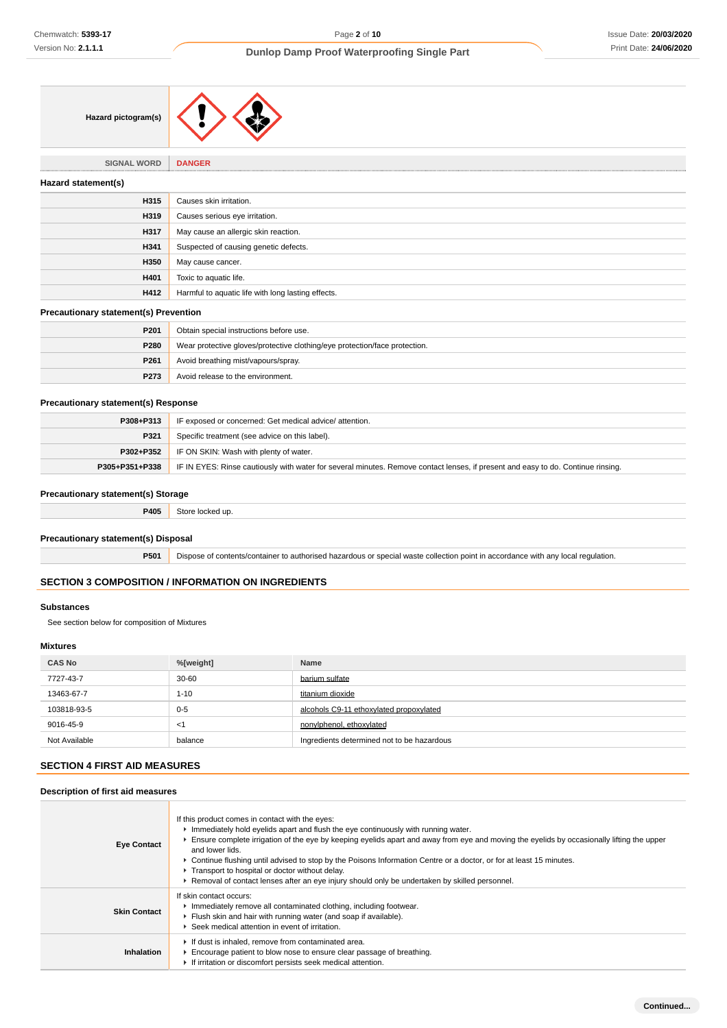| Hazard pictogram(s) |  |  |
|---------------------|--|--|
|---------------------|--|--|

**SIGNAL WORD DANGER**

| Hazard statement(s) |                                                    |
|---------------------|----------------------------------------------------|
| H315                | Causes skin irritation.                            |
| H319                | Causes serious eye irritation.                     |
| H317                | May cause an allergic skin reaction.               |
| H341                | Suspected of causing genetic defects.              |
| H350                | May cause cancer.                                  |
| H401                | Toxic to aquatic life.                             |
| H412                | Harmful to aquatic life with long lasting effects. |
|                     |                                                    |

# **Precautionary statement(s) Prevention**

| P <sub>201</sub> | Obtain special instructions before use.                                    |
|------------------|----------------------------------------------------------------------------|
| P280             | Wear protective gloves/protective clothing/eye protection/face protection. |
| P261             | Avoid breathing mist/vapours/spray.                                        |
| P <sub>273</sub> | Avoid release to the environment.                                          |

# **Precautionary statement(s) Response**

| P308+P313      | IF exposed or concerned: Get medical advice/attention.                                                                           |  |
|----------------|----------------------------------------------------------------------------------------------------------------------------------|--|
| P321           | Specific treatment (see advice on this label).                                                                                   |  |
| P302+P352      | IF ON SKIN: Wash with plenty of water.                                                                                           |  |
| P305+P351+P338 | IF IN EYES: Rinse cautiously with water for several minutes. Remove contact lenses, if present and easy to do. Continue rinsing. |  |

# **Precautionary statement(s) Storage**

**P405** Store locked up.

# **Precautionary statement(s) Disposal**

**P501** Dispose of contents/container to authorised hazardous or special waste collection point in accordance with any local regulation.

# **SECTION 3 COMPOSITION / INFORMATION ON INGREDIENTS**

#### **Substances**

See section below for composition of Mixtures

# **Mixtures**

| <b>CAS No</b> | %[weight] | Name                                       |
|---------------|-----------|--------------------------------------------|
| 7727-43-7     | $30 - 60$ | barium sulfate                             |
| 13463-67-7    | $1 - 10$  | titanium dioxide                           |
| 103818-93-5   | $0 - 5$   | alcohols C9-11 ethoxylated propoxylated    |
| 9016-45-9     | <1        | nonylphenol, ethoxylated                   |
| Not Available | balance   | Ingredients determined not to be hazardous |

# **SECTION 4 FIRST AID MEASURES**

# **Description of first aid measures**

| <b>Eye Contact</b>  | If this product comes in contact with the eyes:<br>Immediately hold eyelids apart and flush the eye continuously with running water.<br>Ensure complete irrigation of the eye by keeping eyelids apart and away from eye and moving the eyelids by occasionally lifting the upper<br>and lower lids.<br>▶ Continue flushing until advised to stop by the Poisons Information Centre or a doctor, or for at least 15 minutes.<br>Transport to hospital or doctor without delay.<br>► Removal of contact lenses after an eye injury should only be undertaken by skilled personnel. |
|---------------------|-----------------------------------------------------------------------------------------------------------------------------------------------------------------------------------------------------------------------------------------------------------------------------------------------------------------------------------------------------------------------------------------------------------------------------------------------------------------------------------------------------------------------------------------------------------------------------------|
| <b>Skin Contact</b> | lf skin contact occurs:<br>Immediately remove all contaminated clothing, including footwear.<br>Flush skin and hair with running water (and soap if available).<br>▶ Seek medical attention in event of irritation.                                                                                                                                                                                                                                                                                                                                                               |
| Inhalation          | If dust is inhaled, remove from contaminated area.<br>Encourage patient to blow nose to ensure clear passage of breathing.<br>If irritation or discomfort persists seek medical attention.                                                                                                                                                                                                                                                                                                                                                                                        |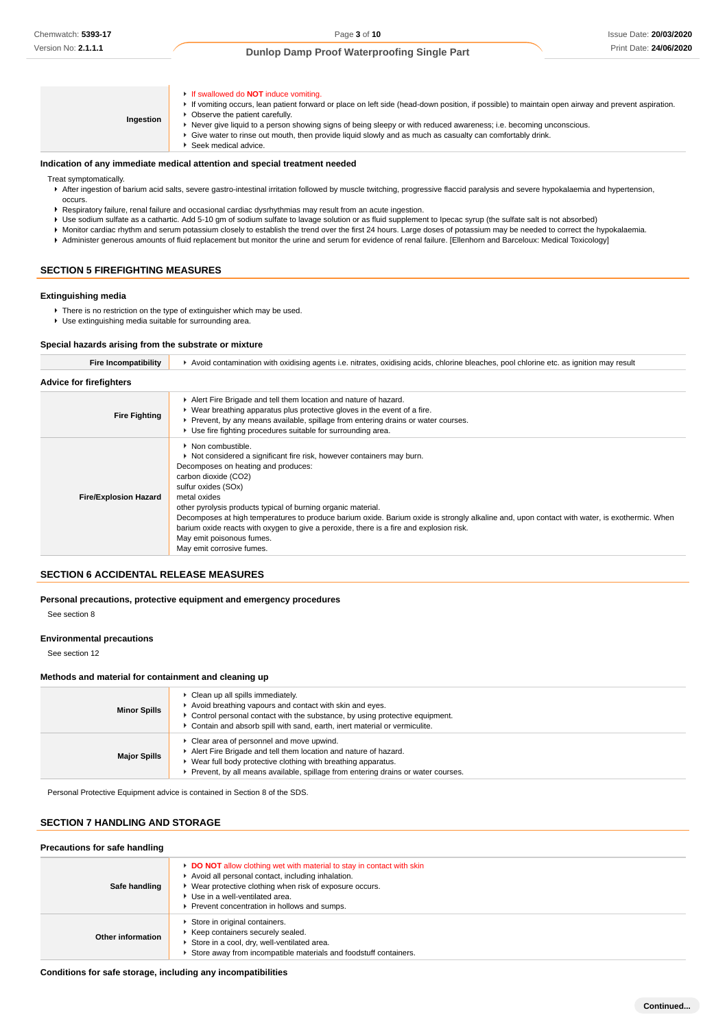**Ingestion** If swallowed do **NOT** induce vomiting. If vomiting occurs, lean patient forward or place on left side (head-down position, if possible) to maintain open airway and prevent aspiration. **• Observe the patient carefully.** Never give liquid to a person showing signs of being sleepy or with reduced awareness; i.e. becoming unconscious. Give water to rinse out mouth, then provide liquid slowly and as much as casualty can comfortably drink. Seek medical advice. **Indication of any immediate medical attention and special treatment needed**

Treat symptomatically.

- After ingestion of barium acid salts, severe gastro-intestinal irritation followed by muscle twitching, progressive flaccid paralysis and severe hypokalaemia and hypertension, occurs.
- Respiratory failure, renal failure and occasional cardiac dysrhythmias may result from an acute ingestion.
- Use sodium sulfate as a cathartic. Add 5-10 gm of sodium sulfate to lavage solution or as fluid supplement to Ipecac syrup (the sulfate salt is not absorbed)
- Monitor cardiac rhythm and serum potassium closely to establish the trend over the first 24 hours. Large doses of potassium may be needed to correct the hypokalaemia.
- Administer generous amounts of fluid replacement but monitor the urine and serum for evidence of renal failure. [Ellenhorn and Barceloux: Medical Toxicology]

#### **SECTION 5 FIREFIGHTING MEASURES**

#### **Extinguishing media**

**There is no restriction on the type of extinguisher which may be used.** Use extinguishing media suitable for surrounding area.

#### **Special hazards arising from the substrate or mixture**

| Fire Incompatibility           | ► Avoid contamination with oxidising agents i.e. nitrates, oxidising acids, chlorine bleaches, pool chlorine etc. as ignition may result                                                                                                                                                                                                                                                                                                                                                                                                                                 |
|--------------------------------|--------------------------------------------------------------------------------------------------------------------------------------------------------------------------------------------------------------------------------------------------------------------------------------------------------------------------------------------------------------------------------------------------------------------------------------------------------------------------------------------------------------------------------------------------------------------------|
| <b>Advice for firefighters</b> |                                                                                                                                                                                                                                                                                                                                                                                                                                                                                                                                                                          |
| <b>Fire Fighting</b>           | Alert Fire Brigade and tell them location and nature of hazard.<br>► Wear breathing apparatus plus protective gloves in the event of a fire.<br>▶ Prevent, by any means available, spillage from entering drains or water courses.<br>• Use fire fighting procedures suitable for surrounding area.                                                                                                                                                                                                                                                                      |
| <b>Fire/Explosion Hazard</b>   | • Non combustible.<br>► Not considered a significant fire risk, however containers may burn.<br>Decomposes on heating and produces:<br>carbon dioxide (CO2)<br>sulfur oxides (SOx)<br>metal oxides<br>other pyrolysis products typical of burning organic material.<br>Decomposes at high temperatures to produce barium oxide. Barium oxide is strongly alkaline and, upon contact with water, is exothermic. When<br>barium oxide reacts with oxygen to give a peroxide, there is a fire and explosion risk.<br>May emit poisonous fumes.<br>May emit corrosive fumes. |

# **SECTION 6 ACCIDENTAL RELEASE MEASURES**

**Personal precautions, protective equipment and emergency procedures**

See section 8

#### **Environmental precautions**

See section 12

#### **Methods and material for containment and cleaning up**

| <b>Minor Spills</b> | Clean up all spills immediately.<br>Avoid breathing vapours and contact with skin and eyes.<br>$\blacktriangleright$ Control personal contact with the substance, by using protective equipment.<br>► Contain and absorb spill with sand, earth, inert material or vermiculite. |
|---------------------|---------------------------------------------------------------------------------------------------------------------------------------------------------------------------------------------------------------------------------------------------------------------------------|
| <b>Major Spills</b> | Clear area of personnel and move upwind.<br>Alert Fire Brigade and tell them location and nature of hazard.<br>► Wear full body protective clothing with breathing apparatus.<br>Prevent, by all means available, spillage from entering drains or water courses.               |

Personal Protective Equipment advice is contained in Section 8 of the SDS.

# **SECTION 7 HANDLING AND STORAGE**

| Safe handling     | DO NOT allow clothing wet with material to stay in contact with skin<br>Avoid all personal contact, including inhalation.<br>▶ Wear protective clothing when risk of exposure occurs.<br>▶ Use in a well-ventilated area.<br>Prevent concentration in hollows and sumps. |
|-------------------|--------------------------------------------------------------------------------------------------------------------------------------------------------------------------------------------------------------------------------------------------------------------------|
| Other information | Store in original containers.<br>Keep containers securely sealed.<br>Store in a cool, dry, well-ventilated area.<br>Store away from incompatible materials and foodstuff containers.                                                                                     |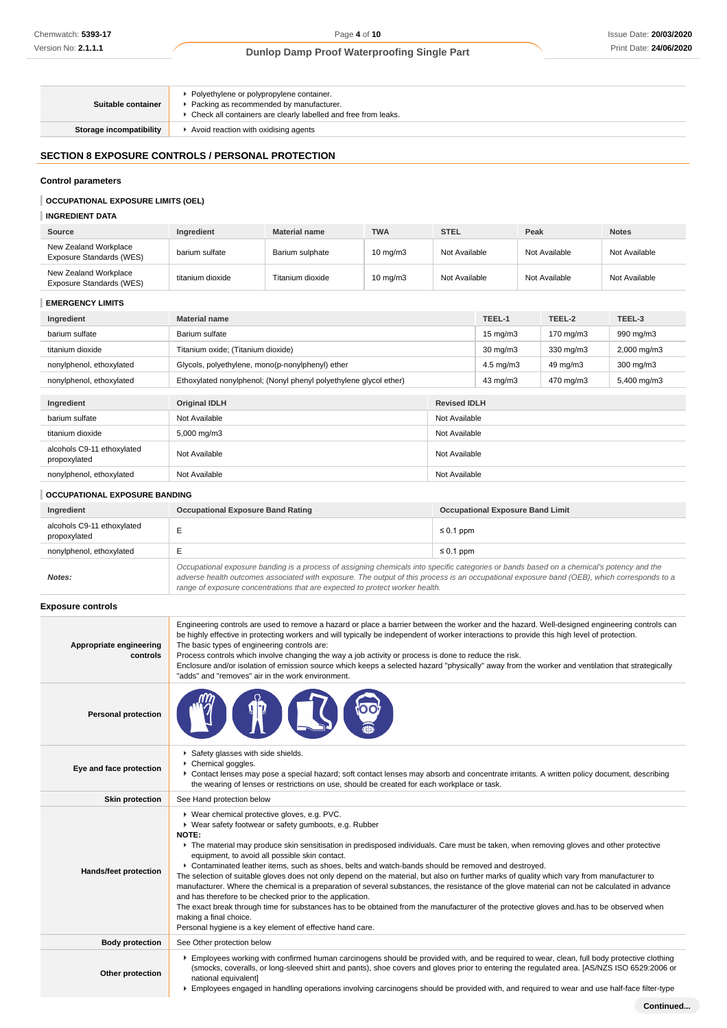| Suitable container      | • Polyethylene or polypropylene container.<br>Packing as recommended by manufacturer.<br>▶ Check all containers are clearly labelled and free from leaks. |
|-------------------------|-----------------------------------------------------------------------------------------------------------------------------------------------------------|
| Storage incompatibility | Avoid reaction with oxidising agents                                                                                                                      |

# **SECTION 8 EXPOSURE CONTROLS / PERSONAL PROTECTION**

# **Control parameters**

# **OCCUPATIONAL EXPOSURE LIMITS (OEL)**

# **INGREDIENT DATA**

| Source                                            | Ingredient       | <b>Material name</b> | <b>TWA</b>          | <b>STEL</b>   | Peak          | <b>Notes</b>  |
|---------------------------------------------------|------------------|----------------------|---------------------|---------------|---------------|---------------|
| New Zealand Workplace<br>Exposure Standards (WES) | barium sulfate   | Barium sulphate      | $10 \text{ ma/m}$ 3 | Not Available | Not Available | Not Available |
| New Zealand Workplace<br>Exposure Standards (WES) | titanium dioxide | Titanium dioxide     | $10 \text{ ma/m}$ 3 | Not Available | Not Available | Not Available |

# **EMERGENCY LIMITS**

| Ingredient                                 | <b>Material name</b>                                              |                     | TEEL-1               | TEEL-2    | TEEL-3                  |
|--------------------------------------------|-------------------------------------------------------------------|---------------------|----------------------|-----------|-------------------------|
| barium sulfate                             | Barium sulfate                                                    |                     | $15 \text{ mg/m}$    | 170 mg/m3 | 990 mg/m3               |
| titanium dioxide                           | Titanium oxide; (Titanium dioxide)                                |                     | $30 \text{ mg/m}$    | 330 mg/m3 | $2,000 \,\mathrm{mg/m}$ |
| nonylphenol, ethoxylated                   | Glycols, polyethylene, mono(p-nonylphenyl) ether                  |                     | $4.5 \text{ mg/m}$ 3 | 49 mg/m3  | $300 \text{ mg/m}$      |
| nonylphenol, ethoxylated                   | Ethoxylated nonylphenol; (Nonyl phenyl polyethylene glycol ether) |                     | 43 mg/m3             | 470 mg/m3 | 5,400 mg/m3             |
|                                            |                                                                   |                     |                      |           |                         |
| Ingredient                                 | <b>Original IDLH</b>                                              | <b>Revised IDLH</b> |                      |           |                         |
| barium sulfate                             | Not Available                                                     | Not Available       |                      |           |                         |
| titanium dioxide                           | 5,000 mg/m3                                                       | Not Available       |                      |           |                         |
| alcohols C9-11 ethoxylated<br>propoxylated | Not Available                                                     | Not Available       |                      |           |                         |
| nonylphenol, ethoxylated                   | Not Available<br>Not Available                                    |                     |                      |           |                         |

# **OCCUPATIONAL EXPOSURE BANDING**

| Ingredient                                 | <b>Occupational Exposure Band Rating</b>                                                                                                                                                                                                                                                 | <b>Occupational Exposure Band Limit</b> |  |
|--------------------------------------------|------------------------------------------------------------------------------------------------------------------------------------------------------------------------------------------------------------------------------------------------------------------------------------------|-----------------------------------------|--|
| alcohols C9-11 ethoxylated<br>propoxylated |                                                                                                                                                                                                                                                                                          | $\leq 0.1$ ppm                          |  |
| nonylphenol, ethoxylated                   |                                                                                                                                                                                                                                                                                          | $\leq 0.1$ ppm                          |  |
| Notes:                                     | Occupational exposure banding is a process of assigning chemicals into specific categories or bands based on a chemical's potency and the<br>adverse health outcomes associated with exposure. The output of this process is an occupational exposure band (OEB), which corresponds to a |                                         |  |

range of exposure concentrations that are expected to protect worker health.

# **Exposure controls**

| Engineering controls are used to remove a hazard or place a barrier between the worker and the hazard. Well-designed engineering controls can<br>be highly effective in protecting workers and will typically be independent of worker interactions to provide this high level of protection.<br>The basic types of engineering controls are:<br>Process controls which involve changing the way a job activity or process is done to reduce the risk.<br>Enclosure and/or isolation of emission source which keeps a selected hazard "physically" away from the worker and ventilation that strategically<br>"adds" and "removes" air in the work environment.                                                                                                                                                                                                                                                                                                                                                       |
|-----------------------------------------------------------------------------------------------------------------------------------------------------------------------------------------------------------------------------------------------------------------------------------------------------------------------------------------------------------------------------------------------------------------------------------------------------------------------------------------------------------------------------------------------------------------------------------------------------------------------------------------------------------------------------------------------------------------------------------------------------------------------------------------------------------------------------------------------------------------------------------------------------------------------------------------------------------------------------------------------------------------------|
|                                                                                                                                                                                                                                                                                                                                                                                                                                                                                                                                                                                                                                                                                                                                                                                                                                                                                                                                                                                                                       |
| Safety glasses with side shields.<br>Chemical goggles.<br>▶ Contact lenses may pose a special hazard; soft contact lenses may absorb and concentrate irritants. A written policy document, describing<br>the wearing of lenses or restrictions on use, should be created for each workplace or task.                                                                                                                                                                                                                                                                                                                                                                                                                                                                                                                                                                                                                                                                                                                  |
| See Hand protection below                                                                                                                                                                                                                                                                                                                                                                                                                                                                                                                                                                                                                                                                                                                                                                                                                                                                                                                                                                                             |
| ▶ Wear chemical protective gloves, e.g. PVC.<br>▶ Wear safety footwear or safety gumboots, e.g. Rubber<br>NOTE:<br>▶ The material may produce skin sensitisation in predisposed individuals. Care must be taken, when removing gloves and other protective<br>equipment, to avoid all possible skin contact.<br>▶ Contaminated leather items, such as shoes, belts and watch-bands should be removed and destroyed.<br>The selection of suitable gloves does not only depend on the material, but also on further marks of quality which vary from manufacturer to<br>manufacturer. Where the chemical is a preparation of several substances, the resistance of the glove material can not be calculated in advance<br>and has therefore to be checked prior to the application.<br>The exact break through time for substances has to be obtained from the manufacturer of the protective gloves and has to be observed when<br>making a final choice.<br>Personal hygiene is a key element of effective hand care. |
| See Other protection below                                                                                                                                                                                                                                                                                                                                                                                                                                                                                                                                                                                                                                                                                                                                                                                                                                                                                                                                                                                            |
| Employees working with confirmed human carcinogens should be provided with, and be required to wear, clean, full body protective clothing<br>(smocks, coveralls, or long-sleeved shirt and pants), shoe covers and gloves prior to entering the regulated area. [AS/NZS ISO 6529:2006 or<br>national equivalent]<br>Employees engaged in handling operations involving carcinogens should be provided with, and required to wear and use half-face filter-type                                                                                                                                                                                                                                                                                                                                                                                                                                                                                                                                                        |
|                                                                                                                                                                                                                                                                                                                                                                                                                                                                                                                                                                                                                                                                                                                                                                                                                                                                                                                                                                                                                       |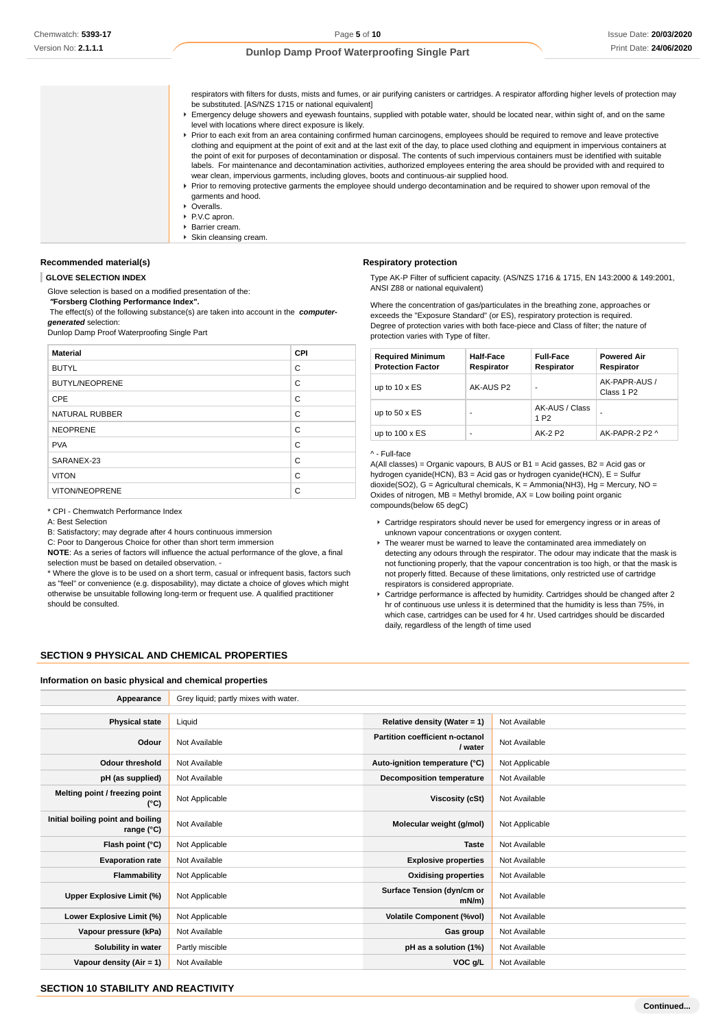respirators with filters for dusts, mists and fumes, or air purifying canisters or cartridges. A respirator affording higher levels of protection may be substituted. [AS/NZS 1715 or national equivalent]

- Emergency deluge showers and eyewash fountains, supplied with potable water, should be located near, within sight of, and on the same level with locations where direct exposure is likely.
- Prior to each exit from an area containing confirmed human carcinogens, employees should be required to remove and leave protective clothing and equipment at the point of exit and at the last exit of the day, to place used clothing and equipment in impervious containers at the point of exit for purposes of decontamination or disposal. The contents of such impervious containers must be identified with suitable labels. For maintenance and decontamination activities, authorized employees entering the area should be provided with and required to wear clean, impervious garments, including gloves, boots and continuous-air supplied hood. Prior to removing protective garments the employee should undergo decontamination and be required to shower upon removal of the garments and hood.
	- ▶ Overalls.
	- ▶ P.V.C apron.
	- Barrier cream.
	- ▶ Skin cleansing cream.

#### **Recommended material(s)**

#### **GLOVE SELECTION INDEX**

Glove selection is based on a modified presentation of the:

 **"Forsberg Clothing Performance Index".**

 The effect(s) of the following substance(s) are taken into account in the **computergenerated** selection:

Dunlop Damp Proof Waterproofing Single Part

| <b>Material</b>       | <b>CPI</b> |
|-----------------------|------------|
| <b>BUTYL</b>          | C          |
| <b>BUTYL/NEOPRENE</b> | C          |
| CPE                   | C          |
| <b>NATURAL RUBBER</b> | C          |
| <b>NEOPRENE</b>       | C          |
| <b>PVA</b>            | C          |
| SARANEX-23            | C          |
| <b>VITON</b>          | C          |
| VITON/NEOPRENE        | C          |

#### \* CPI - Chemwatch Performance Index

A: Best Selection

B: Satisfactory; may degrade after 4 hours continuous immersion

C: Poor to Dangerous Choice for other than short term immersion **NOTE**: As a series of factors will influence the actual performance of the glove, a final

selection must be based on detailed observation. - \* Where the glove is to be used on a short term, casual or infrequent basis, factors such

as "feel" or convenience (e.g. disposability), may dictate a choice of gloves which might otherwise be unsuitable following long-term or frequent use. A qualified practitioner should be consulted.

#### **Respiratory protection**

Type AK-P Filter of sufficient capacity. (AS/NZS 1716 & 1715, EN 143:2000 & 149:2001, ANSI Z88 or national equivalent)

Where the concentration of gas/particulates in the breathing zone, approaches or exceeds the "Exposure Standard" (or ES), respiratory protection is required. Degree of protection varies with both face-piece and Class of filter; the nature of protection varies with Type of filter.

| <b>Required Minimum</b><br><b>Protection Factor</b> | <b>Half-Face</b><br>Respirator | <b>Full-Face</b><br>Respirator     | <b>Powered Air</b><br>Respirator        |
|-----------------------------------------------------|--------------------------------|------------------------------------|-----------------------------------------|
| up to $10 \times ES$                                | AK-AUS P2                      | $\blacksquare$                     | AK-PAPR-AUS /<br>Class 1 P <sub>2</sub> |
| up to $50 \times ES$                                | ۰                              | AK-AUS / Class<br>1 P <sub>2</sub> | ۰                                       |
| up to $100 \times ES$                               |                                | AK-2 P2                            | AK-PAPR-2 P2 ^                          |

#### ^ - Full-face

A(All classes) = Organic vapours, B AUS or B1 = Acid gasses, B2 = Acid gas or hydrogen cyanide(HCN), B3 = Acid gas or hydrogen cyanide(HCN), E = Sulfur dioxide(SO2), G = Agricultural chemicals, K = Ammonia(NH3), Hg = Mercury, NO = Oxides of nitrogen,  $MB = M$ ethyl bromide,  $AX = Low$  boiling point organic compounds(below 65 degC)

- Cartridge respirators should never be used for emergency ingress or in areas of unknown vapour concentrations or oxygen content.
- ▶ The wearer must be warned to leave the contaminated area immediately on detecting any odours through the respirator. The odour may indicate that the mask is not functioning properly, that the vapour concentration is too high, or that the mask is not properly fitted. Because of these limitations, only restricted use of cartridge respirators is considered appropriate.
- Cartridge performance is affected by humidity. Cartridges should be changed after 2 hr of continuous use unless it is determined that the humidity is less than 75%, in which case, cartridges can be used for 4 hr. Used cartridges should be discarded daily, regardless of the length of time used

# **SECTION 9 PHYSICAL AND CHEMICAL PROPERTIES**

#### **Information on basic physical and chemical properties**

| Appearance                                      | Grey liquid; partly mixes with water. |                                            |                |
|-------------------------------------------------|---------------------------------------|--------------------------------------------|----------------|
|                                                 |                                       |                                            |                |
| <b>Physical state</b>                           | Liquid                                | Relative density (Water = 1)               | Not Available  |
| Odour                                           | Not Available                         | Partition coefficient n-octanol<br>/ water | Not Available  |
| <b>Odour threshold</b>                          | Not Available                         | Auto-ignition temperature (°C)             | Not Applicable |
| pH (as supplied)                                | Not Available                         | Decomposition temperature                  | Not Available  |
| Melting point / freezing point<br>(°C)          | Not Applicable                        | Viscosity (cSt)                            | Not Available  |
| Initial boiling point and boiling<br>range (°C) | Not Available                         | Molecular weight (g/mol)                   | Not Applicable |
| Flash point (°C)                                | Not Applicable                        | <b>Taste</b>                               | Not Available  |
| <b>Evaporation rate</b>                         | Not Available                         | <b>Explosive properties</b>                | Not Available  |
| Flammability                                    | Not Applicable                        | <b>Oxidising properties</b>                | Not Available  |
| Upper Explosive Limit (%)                       | Not Applicable                        | Surface Tension (dyn/cm or<br>$mN/m$ )     | Not Available  |
| Lower Explosive Limit (%)                       | Not Applicable                        | <b>Volatile Component (%vol)</b>           | Not Available  |
| Vapour pressure (kPa)                           | Not Available                         | Gas group                                  | Not Available  |
| Solubility in water                             | Partly miscible                       | pH as a solution (1%)                      | Not Available  |
| Vapour density (Air = 1)                        | Not Available                         | VOC g/L                                    | Not Available  |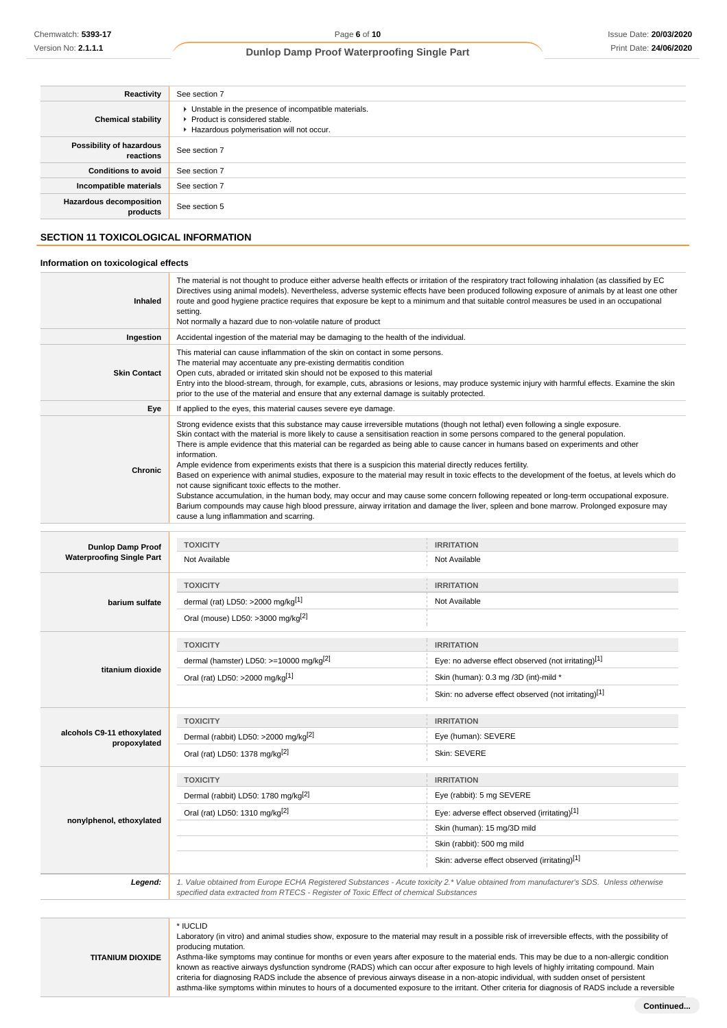| Reactivity                                 | See section 7                                                                                                                        |
|--------------------------------------------|--------------------------------------------------------------------------------------------------------------------------------------|
| <b>Chemical stability</b>                  | • Unstable in the presence of incompatible materials.<br>▶ Product is considered stable.<br>Hazardous polymerisation will not occur. |
| Possibility of hazardous<br>reactions      | See section 7                                                                                                                        |
| <b>Conditions to avoid</b>                 | See section 7                                                                                                                        |
| Incompatible materials                     | See section 7                                                                                                                        |
| <b>Hazardous decomposition</b><br>products | See section 5                                                                                                                        |

# **SECTION 11 TOXICOLOGICAL INFORMATION**

#### **Information on toxicological effects**

| <b>Inhaled</b>      | The material is not thought to produce either adverse health effects or irritation of the respiratory tract following inhalation (as classified by EC<br>Directives using animal models). Nevertheless, adverse systemic effects have been produced following exposure of animals by at least one other<br>route and good hygiene practice requires that exposure be kept to a minimum and that suitable control measures be used in an occupational<br>setting.<br>Not normally a hazard due to non-volatile nature of product                                                                                                                                                                                                                                                                                                                                                                                                                                                                                                                                                        |
|---------------------|----------------------------------------------------------------------------------------------------------------------------------------------------------------------------------------------------------------------------------------------------------------------------------------------------------------------------------------------------------------------------------------------------------------------------------------------------------------------------------------------------------------------------------------------------------------------------------------------------------------------------------------------------------------------------------------------------------------------------------------------------------------------------------------------------------------------------------------------------------------------------------------------------------------------------------------------------------------------------------------------------------------------------------------------------------------------------------------|
| Ingestion           | Accidental ingestion of the material may be damaging to the health of the individual.                                                                                                                                                                                                                                                                                                                                                                                                                                                                                                                                                                                                                                                                                                                                                                                                                                                                                                                                                                                                  |
| <b>Skin Contact</b> | This material can cause inflammation of the skin on contact in some persons.<br>The material may accentuate any pre-existing dermatitis condition<br>Open cuts, abraded or irritated skin should not be exposed to this material<br>Entry into the blood-stream, through, for example, cuts, abrasions or lesions, may produce systemic injury with harmful effects. Examine the skin<br>prior to the use of the material and ensure that any external damage is suitably protected.                                                                                                                                                                                                                                                                                                                                                                                                                                                                                                                                                                                                   |
| Eye                 | If applied to the eyes, this material causes severe eye damage.                                                                                                                                                                                                                                                                                                                                                                                                                                                                                                                                                                                                                                                                                                                                                                                                                                                                                                                                                                                                                        |
| Chronic             | Strong evidence exists that this substance may cause irreversible mutations (though not lethal) even following a single exposure.<br>Skin contact with the material is more likely to cause a sensitisation reaction in some persons compared to the general population.<br>There is ample evidence that this material can be regarded as being able to cause cancer in humans based on experiments and other<br>information.<br>Ample evidence from experiments exists that there is a suspicion this material directly reduces fertility.<br>Based on experience with animal studies, exposure to the material may result in toxic effects to the development of the foetus, at levels which do<br>not cause significant toxic effects to the mother.<br>Substance accumulation, in the human body, may occur and may cause some concern following repeated or long-term occupational exposure.<br>Barium compounds may cause high blood pressure, airway irritation and damage the liver, spleen and bone marrow. Prolonged exposure may<br>cause a lung inflammation and scarring. |

| <b>Dunlop Damp Proof</b>                   | <b>TOXICITY</b>                                     | <b>IRRITATION</b>                                                                                                                      |
|--------------------------------------------|-----------------------------------------------------|----------------------------------------------------------------------------------------------------------------------------------------|
| <b>Waterproofing Single Part</b>           | Not Available                                       | Not Available                                                                                                                          |
|                                            | <b>TOXICITY</b>                                     | <b>IRRITATION</b>                                                                                                                      |
| barium sulfate                             | dermal (rat) LD50: >2000 mg/kg $[1]$                | Not Available                                                                                                                          |
|                                            | Oral (mouse) LD50: >3000 mg/kg <sup>[2]</sup>       |                                                                                                                                        |
|                                            | <b>TOXICITY</b>                                     | <b>IRRITATION</b>                                                                                                                      |
|                                            | dermal (hamster) LD50: >=10000 mg/kg <sup>[2]</sup> | Eye: no adverse effect observed (not irritating)[1]                                                                                    |
| titanium dioxide                           | Oral (rat) LD50: >2000 mg/kg[1]                     | Skin (human): 0.3 mg /3D (int)-mild *                                                                                                  |
|                                            |                                                     | Skin: no adverse effect observed (not irritating)[1]                                                                                   |
|                                            | <b>TOXICITY</b>                                     | <b>IRRITATION</b>                                                                                                                      |
| alcohols C9-11 ethoxylated<br>propoxylated | Dermal (rabbit) LD50: >2000 mg/kg <sup>[2]</sup>    | Eye (human): SEVERE                                                                                                                    |
|                                            | Oral (rat) LD50: 1378 mg/kg <sup>[2]</sup>          | Skin: SEVERE                                                                                                                           |
|                                            | <b>TOXICITY</b>                                     | <b>IRRITATION</b>                                                                                                                      |
|                                            | Dermal (rabbit) LD50: 1780 mg/kg <sup>[2]</sup>     | Eye (rabbit): 5 mg SEVERE                                                                                                              |
| nonylphenol, ethoxylated                   | Oral (rat) LD50: 1310 mg/kg[2]                      | Eye: adverse effect observed (irritating)[1]                                                                                           |
|                                            |                                                     | Skin (human): 15 mg/3D mild                                                                                                            |
|                                            |                                                     | Skin (rabbit): 500 mg mild                                                                                                             |
|                                            |                                                     | Skin: adverse effect observed (irritating)[1]                                                                                          |
| Legend:                                    |                                                     | 1. Value obtained from Europe ECHA Registered Substances - Acute toxicity 2.* Value obtained from manufacturer's SDS. Unless otherwise |

# specified data extracted from RTECS - Register of Toxic Effect of chemical Substances

#### **TITANIUM DIOXIDE** \* IUCLID Laboratory (in vitro) and animal studies show, exposure to the material may result in a possible risk of irreversible effects, with the possibility of producing mutation. Asthma-like symptoms may continue for months or even years after exposure to the material ends. This may be due to a non-allergic condition known as reactive airways dysfunction syndrome (RADS) which can occur after exposure to high levels of highly irritating compound. Main criteria for diagnosing RADS include the absence of previous airways disease in a non-atopic individual, with sudden onset of persistent asthma-like symptoms within minutes to hours of a documented exposure to the irritant. Other criteria for diagnosis of RADS include a reversible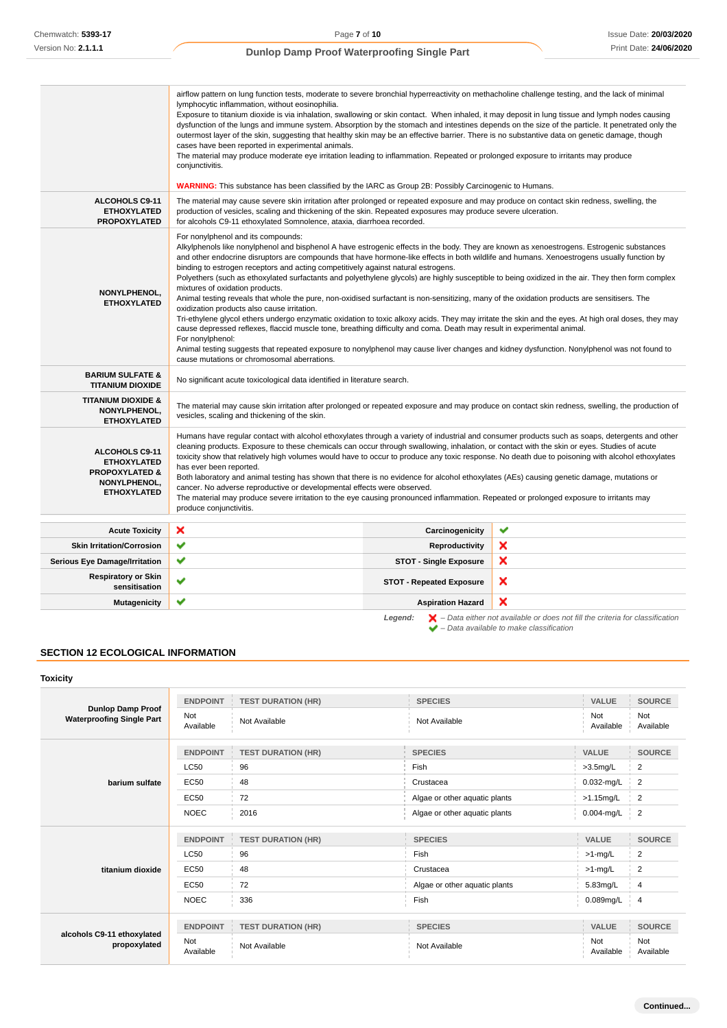| Chemwatch: 5393-17                                                                                                   |                                                                                                                                                                                                   |                                                                                                                                                                                                                                                                                                           | Page 7 of 10                                                                                                                                                                                                                                                                                                                                                                                                                                                                                                                                                                                                                                                                                                                                                                                                                                                                                                                                                                                                                                                                                                                                                                                                                                                                                                                                                                                                                                                                                                                                                               |                                                                                                                                                                     |                       | Issue Date: 20/03/2020 |
|----------------------------------------------------------------------------------------------------------------------|---------------------------------------------------------------------------------------------------------------------------------------------------------------------------------------------------|-----------------------------------------------------------------------------------------------------------------------------------------------------------------------------------------------------------------------------------------------------------------------------------------------------------|----------------------------------------------------------------------------------------------------------------------------------------------------------------------------------------------------------------------------------------------------------------------------------------------------------------------------------------------------------------------------------------------------------------------------------------------------------------------------------------------------------------------------------------------------------------------------------------------------------------------------------------------------------------------------------------------------------------------------------------------------------------------------------------------------------------------------------------------------------------------------------------------------------------------------------------------------------------------------------------------------------------------------------------------------------------------------------------------------------------------------------------------------------------------------------------------------------------------------------------------------------------------------------------------------------------------------------------------------------------------------------------------------------------------------------------------------------------------------------------------------------------------------------------------------------------------------|---------------------------------------------------------------------------------------------------------------------------------------------------------------------|-----------------------|------------------------|
| Version No: 2.1.1.1                                                                                                  |                                                                                                                                                                                                   |                                                                                                                                                                                                                                                                                                           | Dunlop Damp Proof Waterproofing Single Part                                                                                                                                                                                                                                                                                                                                                                                                                                                                                                                                                                                                                                                                                                                                                                                                                                                                                                                                                                                                                                                                                                                                                                                                                                                                                                                                                                                                                                                                                                                                |                                                                                                                                                                     |                       | Print Date: 24/06/2020 |
| ALCOHOLS C9-11<br><b>ETHOXYLATED</b><br><b>PROPOXYLATED</b>                                                          | conjunctivitis.                                                                                                                                                                                   | lymphocytic inflammation, without eosinophilia.<br>cases have been reported in experimental animals.<br>for alcohols C9-11 ethoxylated Somnolence, ataxia, diarrhoea recorded.<br>For nonylphenol and its compounds:<br>binding to estrogen receptors and acting competitively against natural estrogens. | airflow pattern on lung function tests, moderate to severe bronchial hyperreactivity on methacholine challenge testing, and the lack of minimal<br>Exposure to titanium dioxide is via inhalation, swallowing or skin contact. When inhaled, it may deposit in lung tissue and lymph nodes causing<br>dysfunction of the lungs and immune system. Absorption by the stomach and intestines depends on the size of the particle. It penetrated only the<br>outermost layer of the skin, suggesting that healthy skin may be an effective barrier. There is no substantive data on genetic damage, though<br>The material may produce moderate eye irritation leading to inflammation. Repeated or prolonged exposure to irritants may produce<br><b>WARNING:</b> This substance has been classified by the IARC as Group 2B: Possibly Carcinogenic to Humans.<br>The material may cause severe skin irritation after prolonged or repeated exposure and may produce on contact skin redness, swelling, the<br>production of vesicles, scaling and thickening of the skin. Repeated exposures may produce severe ulceration.<br>Alkylphenols like nonylphenol and bisphenol A have estrogenic effects in the body. They are known as xenoestrogens. Estrogenic substances<br>and other endocrine disruptors are compounds that have hormone-like effects in both wildlife and humans. Xenoestrogens usually function by<br>Polyethers (such as ethoxylated surfactants and polyethylene glycols) are highly susceptible to being oxidized in the air. They then form complex |                                                                                                                                                                     |                       |                        |
| <b>NONYLPHENOL,</b><br><b>ETHOXYLATED</b>                                                                            | mixtures of oxidation products.<br>For nonylphenol:                                                                                                                                               | oxidization products also cause irritation.<br>cause mutations or chromosomal aberrations.                                                                                                                                                                                                                | Animal testing reveals that whole the pure, non-oxidised surfactant is non-sensitizing, many of the oxidation products are sensitisers. The<br>Tri-ethylene glycol ethers undergo enzymatic oxidation to toxic alkoxy acids. They may irritate the skin and the eyes. At high oral doses, they may<br>cause depressed reflexes, flaccid muscle tone, breathing difficulty and coma. Death may result in experimental animal.<br>Animal testing suggests that repeated exposure to nonylphenol may cause liver changes and kidney dysfunction. Nonylphenol was not found to                                                                                                                                                                                                                                                                                                                                                                                                                                                                                                                                                                                                                                                                                                                                                                                                                                                                                                                                                                                                 |                                                                                                                                                                     |                       |                        |
| <b>BARIUM SULFATE &amp;</b><br><b>TITANIUM DIOXIDE</b>                                                               |                                                                                                                                                                                                   | No significant acute toxicological data identified in literature search.                                                                                                                                                                                                                                  |                                                                                                                                                                                                                                                                                                                                                                                                                                                                                                                                                                                                                                                                                                                                                                                                                                                                                                                                                                                                                                                                                                                                                                                                                                                                                                                                                                                                                                                                                                                                                                            |                                                                                                                                                                     |                       |                        |
| <b>TITANIUM DIOXIDE &amp;</b><br>NONYLPHENOL,<br><b>ETHOXYLATED</b>                                                  | The material may cause skin irritation after prolonged or repeated exposure and may produce on contact skin redness, swelling, the production of<br>vesicles, scaling and thickening of the skin. |                                                                                                                                                                                                                                                                                                           |                                                                                                                                                                                                                                                                                                                                                                                                                                                                                                                                                                                                                                                                                                                                                                                                                                                                                                                                                                                                                                                                                                                                                                                                                                                                                                                                                                                                                                                                                                                                                                            |                                                                                                                                                                     |                       |                        |
| <b>ALCOHOLS C9-11</b><br><b>ETHOXYLATED</b><br><b>PROPOXYLATED &amp;</b><br>NONYLPHENOL,<br><b>ETHOXYLATED</b>       | has ever been reported.<br>produce conjunctivitis.                                                                                                                                                | cancer. No adverse reproductive or developmental effects were observed.                                                                                                                                                                                                                                   | Humans have regular contact with alcohol ethoxylates through a variety of industrial and consumer products such as soaps, detergents and other<br>cleaning products. Exposure to these chemicals can occur through swallowing, inhalation, or contact with the skin or eyes. Studies of acute<br>toxicity show that relatively high volumes would have to occur to produce any toxic response. No death due to poisoning with alcohol ethoxylates<br>Both laboratory and animal testing has shown that there is no evidence for alcohol ethoxylates (AEs) causing genetic damage, mutations or<br>The material may produce severe irritation to the eye causing pronounced inflammation. Repeated or prolonged exposure to irritants may                                                                                                                                                                                                                                                                                                                                                                                                                                                                                                                                                                                                                                                                                                                                                                                                                                   |                                                                                                                                                                     |                       |                        |
| <b>Acute Toxicity</b>                                                                                                | ×                                                                                                                                                                                                 |                                                                                                                                                                                                                                                                                                           | Carcinogenicity                                                                                                                                                                                                                                                                                                                                                                                                                                                                                                                                                                                                                                                                                                                                                                                                                                                                                                                                                                                                                                                                                                                                                                                                                                                                                                                                                                                                                                                                                                                                                            | ✔                                                                                                                                                                   |                       |                        |
| <b>Skin Irritation/Corrosion</b>                                                                                     | ✔                                                                                                                                                                                                 |                                                                                                                                                                                                                                                                                                           | <b>Reproductivity</b>                                                                                                                                                                                                                                                                                                                                                                                                                                                                                                                                                                                                                                                                                                                                                                                                                                                                                                                                                                                                                                                                                                                                                                                                                                                                                                                                                                                                                                                                                                                                                      | ×                                                                                                                                                                   |                       |                        |
| <b>Serious Eye Damage/Irritation</b>                                                                                 | ✔                                                                                                                                                                                                 |                                                                                                                                                                                                                                                                                                           | <b>STOT - Single Exposure</b>                                                                                                                                                                                                                                                                                                                                                                                                                                                                                                                                                                                                                                                                                                                                                                                                                                                                                                                                                                                                                                                                                                                                                                                                                                                                                                                                                                                                                                                                                                                                              | ×                                                                                                                                                                   |                       |                        |
| <b>Respiratory or Skin</b><br>sensitisation                                                                          |                                                                                                                                                                                                   |                                                                                                                                                                                                                                                                                                           | <b>STOT - Repeated Exposure</b>                                                                                                                                                                                                                                                                                                                                                                                                                                                                                                                                                                                                                                                                                                                                                                                                                                                                                                                                                                                                                                                                                                                                                                                                                                                                                                                                                                                                                                                                                                                                            | ×                                                                                                                                                                   |                       |                        |
| <b>Mutagenicity</b>                                                                                                  | ✔                                                                                                                                                                                                 |                                                                                                                                                                                                                                                                                                           | <b>Aspiration Hazard</b>                                                                                                                                                                                                                                                                                                                                                                                                                                                                                                                                                                                                                                                                                                                                                                                                                                                                                                                                                                                                                                                                                                                                                                                                                                                                                                                                                                                                                                                                                                                                                   | ×                                                                                                                                                                   |                       |                        |
| <b>SECTION 12 ECOLOGICAL INFORMATION</b><br>Toxicity<br><b>Dunlop Damp Proof</b><br><b>Waterproofing Single Part</b> | <b>ENDPOINT</b><br>Not                                                                                                                                                                            | <b>TEST DURATION (HR)</b><br>Not Available                                                                                                                                                                                                                                                                | Legend:<br><b>SPECIES</b><br>Not Available                                                                                                                                                                                                                                                                                                                                                                                                                                                                                                                                                                                                                                                                                                                                                                                                                                                                                                                                                                                                                                                                                                                                                                                                                                                                                                                                                                                                                                                                                                                                 | $\blacktriangleright$ – Data either not available or does not fill the criteria for classification<br>$\blacktriangleright$ - Data available to make classification | VALUE<br>Not          | <b>SOURCE</b><br>Not   |
|                                                                                                                      | Available                                                                                                                                                                                         |                                                                                                                                                                                                                                                                                                           |                                                                                                                                                                                                                                                                                                                                                                                                                                                                                                                                                                                                                                                                                                                                                                                                                                                                                                                                                                                                                                                                                                                                                                                                                                                                                                                                                                                                                                                                                                                                                                            |                                                                                                                                                                     | Available             | Available              |
|                                                                                                                      | <b>ENDPOINT</b>                                                                                                                                                                                   | <b>TEST DURATION (HR)</b>                                                                                                                                                                                                                                                                                 | <b>SPECIES</b>                                                                                                                                                                                                                                                                                                                                                                                                                                                                                                                                                                                                                                                                                                                                                                                                                                                                                                                                                                                                                                                                                                                                                                                                                                                                                                                                                                                                                                                                                                                                                             |                                                                                                                                                                     | VALUE                 | <b>SOURCE</b>          |
|                                                                                                                      | <b>LC50</b>                                                                                                                                                                                       | 96                                                                                                                                                                                                                                                                                                        | Fish                                                                                                                                                                                                                                                                                                                                                                                                                                                                                                                                                                                                                                                                                                                                                                                                                                                                                                                                                                                                                                                                                                                                                                                                                                                                                                                                                                                                                                                                                                                                                                       |                                                                                                                                                                     | $>3.5$ mg/L           | 2                      |
| barium sulfate                                                                                                       | <b>EC50</b>                                                                                                                                                                                       | 48                                                                                                                                                                                                                                                                                                        | Crustacea                                                                                                                                                                                                                                                                                                                                                                                                                                                                                                                                                                                                                                                                                                                                                                                                                                                                                                                                                                                                                                                                                                                                                                                                                                                                                                                                                                                                                                                                                                                                                                  |                                                                                                                                                                     | 0.032-mg/L            | 2                      |
|                                                                                                                      | <b>EC50</b>                                                                                                                                                                                       | 72                                                                                                                                                                                                                                                                                                        | Algae or other aquatic plants                                                                                                                                                                                                                                                                                                                                                                                                                                                                                                                                                                                                                                                                                                                                                                                                                                                                                                                                                                                                                                                                                                                                                                                                                                                                                                                                                                                                                                                                                                                                              |                                                                                                                                                                     | >1.15mg/L             | 2                      |
|                                                                                                                      | <b>NOEC</b>                                                                                                                                                                                       | 2016                                                                                                                                                                                                                                                                                                      | Algae or other aquatic plants                                                                                                                                                                                                                                                                                                                                                                                                                                                                                                                                                                                                                                                                                                                                                                                                                                                                                                                                                                                                                                                                                                                                                                                                                                                                                                                                                                                                                                                                                                                                              |                                                                                                                                                                     | $0.004$ -mg/L         | 2                      |
|                                                                                                                      | <b>ENDPOINT</b>                                                                                                                                                                                   | <b>TEST DURATION (HR)</b>                                                                                                                                                                                                                                                                                 | <b>SPECIES</b>                                                                                                                                                                                                                                                                                                                                                                                                                                                                                                                                                                                                                                                                                                                                                                                                                                                                                                                                                                                                                                                                                                                                                                                                                                                                                                                                                                                                                                                                                                                                                             |                                                                                                                                                                     | VALUE                 | <b>SOURCE</b>          |
|                                                                                                                      | <b>LC50</b>                                                                                                                                                                                       | 96                                                                                                                                                                                                                                                                                                        | Fish                                                                                                                                                                                                                                                                                                                                                                                                                                                                                                                                                                                                                                                                                                                                                                                                                                                                                                                                                                                                                                                                                                                                                                                                                                                                                                                                                                                                                                                                                                                                                                       |                                                                                                                                                                     | $>1$ -mg/L            | $\overline{c}$         |
| titanium dioxide                                                                                                     | EC50                                                                                                                                                                                              | 48                                                                                                                                                                                                                                                                                                        | Crustacea                                                                                                                                                                                                                                                                                                                                                                                                                                                                                                                                                                                                                                                                                                                                                                                                                                                                                                                                                                                                                                                                                                                                                                                                                                                                                                                                                                                                                                                                                                                                                                  |                                                                                                                                                                     | >1-mg/L               | 2                      |
|                                                                                                                      |                                                                                                                                                                                                   |                                                                                                                                                                                                                                                                                                           |                                                                                                                                                                                                                                                                                                                                                                                                                                                                                                                                                                                                                                                                                                                                                                                                                                                                                                                                                                                                                                                                                                                                                                                                                                                                                                                                                                                                                                                                                                                                                                            |                                                                                                                                                                     |                       |                        |
|                                                                                                                      | EC50<br><b>NOEC</b>                                                                                                                                                                               | 72<br>336                                                                                                                                                                                                                                                                                                 | Algae or other aquatic plants<br>Fish                                                                                                                                                                                                                                                                                                                                                                                                                                                                                                                                                                                                                                                                                                                                                                                                                                                                                                                                                                                                                                                                                                                                                                                                                                                                                                                                                                                                                                                                                                                                      |                                                                                                                                                                     | 5.83mg/L<br>0.089mg/L | 4<br>4                 |
|                                                                                                                      |                                                                                                                                                                                                   |                                                                                                                                                                                                                                                                                                           |                                                                                                                                                                                                                                                                                                                                                                                                                                                                                                                                                                                                                                                                                                                                                                                                                                                                                                                                                                                                                                                                                                                                                                                                                                                                                                                                                                                                                                                                                                                                                                            |                                                                                                                                                                     |                       |                        |
| alcohols C9-11 ethoxylated<br>propoxylated                                                                           | <b>ENDPOINT</b><br>Not                                                                                                                                                                            | <b>TEST DURATION (HR)</b><br>Not Available                                                                                                                                                                                                                                                                | <b>SPECIES</b><br>Not Available                                                                                                                                                                                                                                                                                                                                                                                                                                                                                                                                                                                                                                                                                                                                                                                                                                                                                                                                                                                                                                                                                                                                                                                                                                                                                                                                                                                                                                                                                                                                            |                                                                                                                                                                     | VALUE<br>Not          | <b>SOURCE</b><br>Not   |
|                                                                                                                      | Available                                                                                                                                                                                         |                                                                                                                                                                                                                                                                                                           |                                                                                                                                                                                                                                                                                                                                                                                                                                                                                                                                                                                                                                                                                                                                                                                                                                                                                                                                                                                                                                                                                                                                                                                                                                                                                                                                                                                                                                                                                                                                                                            |                                                                                                                                                                     | Available             | Available              |

# **SECTION 12 ECOLOGICAL INFORMATION**

# **Toxicity**

|                                                              | <b>ENDPOINT</b>         | <b>TEST DURATION (HR)</b> | <b>SPECIES</b>                | <b>VALUE</b>     | <b>SOURCE</b>    |
|--------------------------------------------------------------|-------------------------|---------------------------|-------------------------------|------------------|------------------|
| <b>Dunlop Damp Proof</b><br><b>Waterproofing Single Part</b> | <b>Not</b><br>Available | Not Available             | Not Available                 | Not<br>Available | Not<br>Available |
|                                                              | <b>ENDPOINT</b>         | <b>TEST DURATION (HR)</b> | <b>SPECIES</b>                | <b>VALUE</b>     | <b>SOURCE</b>    |
|                                                              | <b>LC50</b>             | 96                        | Fish                          | $>3.5$ mg/L      | 2                |
| barium sulfate                                               | EC50                    | 48                        | Crustacea                     | 0.032-mg/L       | $\overline{2}$   |
|                                                              | <b>EC50</b>             | 72                        | Algae or other aquatic plants | $>1.15$ mg/L     | $\overline{2}$   |
|                                                              | <b>NOEC</b>             | 2016                      | Algae or other aquatic plants | $0.004$ -mg/L    | $\overline{2}$   |
|                                                              | <b>ENDPOINT</b>         | <b>TEST DURATION (HR)</b> | <b>SPECIES</b>                | <b>VALUE</b>     | <b>SOURCE</b>    |
|                                                              | <b>LC50</b>             | 96                        | Fish                          | $>1$ -mg/L       | 2                |
| titanium dioxide                                             | EC50                    | 48                        | Crustacea                     | $>1$ -mg/L       | 2                |
|                                                              | EC50                    | 72                        | Algae or other aquatic plants | 5.83mg/L         | $\overline{4}$   |
|                                                              | <b>NOEC</b>             | 336                       | Fish                          | 0.089mg/L        | $\overline{4}$   |
| alcohols C9-11 ethoxylated<br>propoxylated                   | <b>ENDPOINT</b>         | <b>TEST DURATION (HR)</b> | <b>SPECIES</b>                | <b>VALUE</b>     | <b>SOURCE</b>    |
|                                                              | Not<br>Available        | Not Available             | Not Available                 | Not<br>Available | Not<br>Available |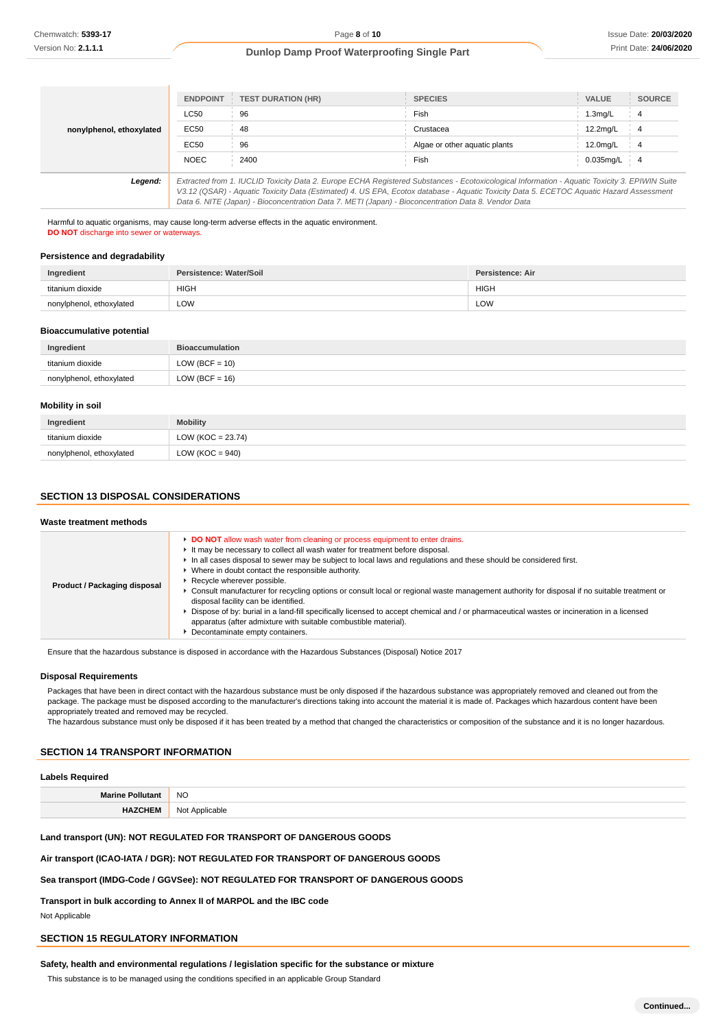|                          | <b>ENDPOINT</b>                                                                                                                               | <b>TEST DURATION (HR)</b> | <b>SPECIES</b>                | <b>VALUE</b> | <b>SOURCE</b> |
|--------------------------|-----------------------------------------------------------------------------------------------------------------------------------------------|---------------------------|-------------------------------|--------------|---------------|
|                          | <b>LC50</b>                                                                                                                                   | 96                        | Fish                          | 1.3mg/L      | 4             |
| nonylphenol, ethoxylated | EC50                                                                                                                                          | 48                        | Crustacea                     | 12.2mg/L     | -4            |
|                          | EC50                                                                                                                                          | 96                        | Algae or other aquatic plants | 12.0mg/L     | 4             |
|                          | <b>NOEC</b>                                                                                                                                   | 2400                      | Fish                          | $0.035$ mg/L | -4            |
| Legend:                  | Extracted from 1. IUCLID Toxicity Data 2. Europe ECHA Registered Substances - Ecotoxicological Information - Aquatic Toxicity 3. EPIWIN Suite |                           |                               |              |               |
|                          | V3.12 (QSAR) - Aquatic Toxicity Data (Estimated) 4. US EPA, Ecotox database - Aquatic Toxicity Data 5. ECETOC Aquatic Hazard Assessment       |                           |                               |              |               |
|                          | Data 6. NITE (Japan) - Bioconcentration Data 7. METI (Japan) - Bioconcentration Data 8. Vendor Data                                           |                           |                               |              |               |

Harmful to aquatic organisms, may cause long-term adverse effects in the aquatic environment. **DO NOT** discharge into sewer or waterways.

#### **Persistence and degradability**

| Ingredient               | Persistence: Water/Soil | Persistence: Air |
|--------------------------|-------------------------|------------------|
| titanium dioxide         | <b>HIGH</b>             | <b>HIGH</b>      |
| nonylphenol, ethoxylated | LOW                     | LOW              |

#### **Bioaccumulative potential**

| Ingredient               | <b>Bioaccumulation</b> |
|--------------------------|------------------------|
| titanium dioxide         | $LOW (BCF = 10)$       |
| nonylphenol, ethoxylated | $LOW (BCF = 16)$       |

#### **Mobility in soil**

| Ingredient               | <b>Mobility</b>     |
|--------------------------|---------------------|
| titanium dioxide         | $LOW (KOC = 23.74)$ |
| nonylphenol, ethoxylated | LOW ( $KOC = 940$ ) |

#### **SECTION 13 DISPOSAL CONSIDERATIONS**

#### **Waste treatment methods Product / Packaging disposal DO NOT** allow wash water from cleaning or process equipment to enter drains. It may be necessary to collect all wash water for treatment before disposal. In all cases disposal to sewer may be subject to local laws and regulations and these should be considered first. Where in doubt contact the responsible authority. Recycle wherever possible. Consult manufacturer for recycling options or consult local or regional waste management authority for disposal if no suitable treatment or disposal facility can be identified. Dispose of by: burial in a land-fill specifically licensed to accept chemical and / or pharmaceutical wastes or incineration in a licensed apparatus (after admixture with suitable combustible material). **Decontaminate empty containers.**

Ensure that the hazardous substance is disposed in accordance with the Hazardous Substances (Disposal) Notice 2017

#### **Disposal Requirements**

Packages that have been in direct contact with the hazardous substance must be only disposed if the hazardous substance was appropriately removed and cleaned out from the package. The package must be disposed according to the manufacturer's directions taking into account the material it is made of. Packages which hazardous content have been appropriately treated and removed may be recycled.

The hazardous substance must only be disposed if it has been treated by a method that changed the characteristics or composition of the substance and it is no longer hazardous.

# **SECTION 14 TRANSPORT INFORMATION**

| <b>Labels Required</b>  |                |
|-------------------------|----------------|
| <b>Marine Pollutant</b> | <b>NO</b>      |
| <b>HAZCHEM</b>          | Not Applicable |

# **Land transport (UN): NOT REGULATED FOR TRANSPORT OF DANGEROUS GOODS**

#### **Air transport (ICAO-IATA / DGR): NOT REGULATED FOR TRANSPORT OF DANGEROUS GOODS**

#### **Sea transport (IMDG-Code / GGVSee): NOT REGULATED FOR TRANSPORT OF DANGEROUS GOODS**

**Transport in bulk according to Annex II of MARPOL and the IBC code**

Not Applicable

# **SECTION 15 REGULATORY INFORMATION**

# **Safety, health and environmental regulations / legislation specific for the substance or mixture**

This substance is to be managed using the conditions specified in an applicable Group Standard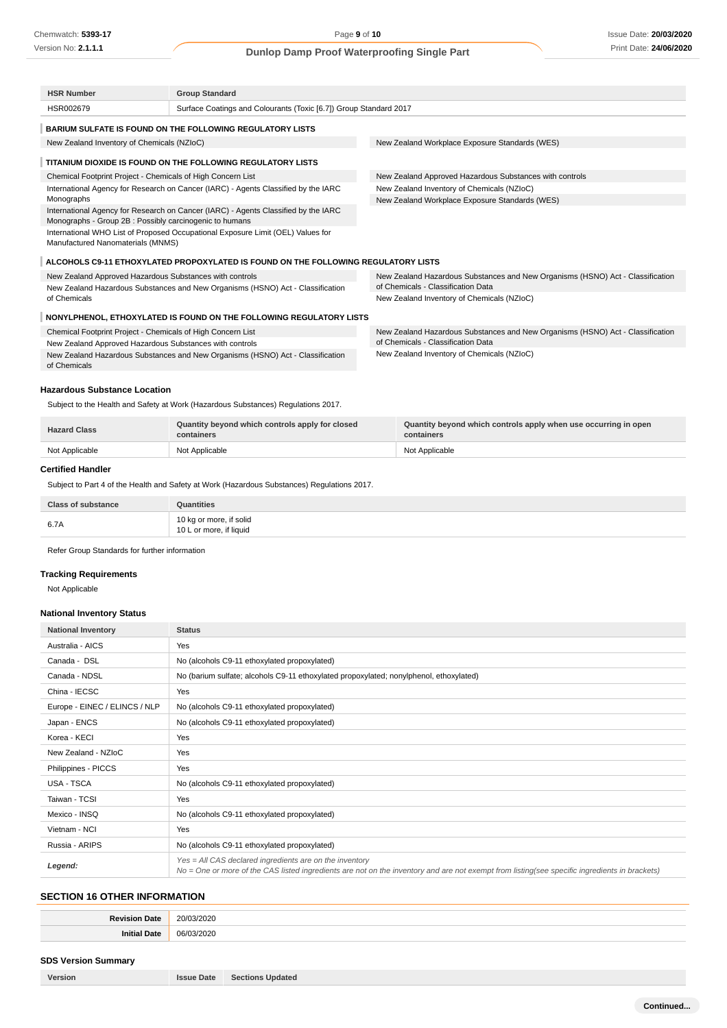| Surface Coatings and Colourants (Toxic [6.7]) Group Standard 2017<br>HSR002679<br><b>BARIUM SULFATE IS FOUND ON THE FOLLOWING REGULATORY LISTS</b><br>New Zealand Workplace Exposure Standards (WES)<br>New Zealand Inventory of Chemicals (NZIoC)<br>TITANIUM DIOXIDE IS FOUND ON THE FOLLOWING REGULATORY LISTS<br>Chemical Footprint Project - Chemicals of High Concern List<br>New Zealand Approved Hazardous Substances with controls<br>International Agency for Research on Cancer (IARC) - Agents Classified by the IARC<br>New Zealand Inventory of Chemicals (NZIoC)<br>Monographs<br>New Zealand Workplace Exposure Standards (WES)<br>International Agency for Research on Cancer (IARC) - Agents Classified by the IARC<br>Monographs - Group 2B : Possibly carcinogenic to humans<br>International WHO List of Proposed Occupational Exposure Limit (OEL) Values for<br>Manufactured Nanomaterials (MNMS)<br>ALCOHOLS C9-11 ETHOXYLATED PROPOXYLATED IS FOUND ON THE FOLLOWING REGULATORY LISTS<br>New Zealand Approved Hazardous Substances with controls<br>New Zealand Hazardous Substances and New Organisms (HSNO) Act - Classification<br>of Chemicals - Classification Data<br>New Zealand Hazardous Substances and New Organisms (HSNO) Act - Classification<br>of Chemicals<br>New Zealand Inventory of Chemicals (NZIoC)<br>NONYLPHENOL, ETHOXYLATED IS FOUND ON THE FOLLOWING REGULATORY LISTS<br>Chemical Footprint Project - Chemicals of High Concern List<br>New Zealand Hazardous Substances and New Organisms (HSNO) Act - Classification<br>of Chemicals - Classification Data<br>New Zealand Approved Hazardous Substances with controls<br>New Zealand Inventory of Chemicals (NZIoC)<br>New Zealand Hazardous Substances and New Organisms (HSNO) Act - Classification<br>of Chemicals | <b>HSR Number</b> | <b>Group Standard</b> |  |  |
|----------------------------------------------------------------------------------------------------------------------------------------------------------------------------------------------------------------------------------------------------------------------------------------------------------------------------------------------------------------------------------------------------------------------------------------------------------------------------------------------------------------------------------------------------------------------------------------------------------------------------------------------------------------------------------------------------------------------------------------------------------------------------------------------------------------------------------------------------------------------------------------------------------------------------------------------------------------------------------------------------------------------------------------------------------------------------------------------------------------------------------------------------------------------------------------------------------------------------------------------------------------------------------------------------------------------------------------------------------------------------------------------------------------------------------------------------------------------------------------------------------------------------------------------------------------------------------------------------------------------------------------------------------------------------------------------------------------------------------------------------------------------------------------------------------------------------|-------------------|-----------------------|--|--|
|                                                                                                                                                                                                                                                                                                                                                                                                                                                                                                                                                                                                                                                                                                                                                                                                                                                                                                                                                                                                                                                                                                                                                                                                                                                                                                                                                                                                                                                                                                                                                                                                                                                                                                                                                                                                                            |                   |                       |  |  |
|                                                                                                                                                                                                                                                                                                                                                                                                                                                                                                                                                                                                                                                                                                                                                                                                                                                                                                                                                                                                                                                                                                                                                                                                                                                                                                                                                                                                                                                                                                                                                                                                                                                                                                                                                                                                                            |                   |                       |  |  |
|                                                                                                                                                                                                                                                                                                                                                                                                                                                                                                                                                                                                                                                                                                                                                                                                                                                                                                                                                                                                                                                                                                                                                                                                                                                                                                                                                                                                                                                                                                                                                                                                                                                                                                                                                                                                                            |                   |                       |  |  |
|                                                                                                                                                                                                                                                                                                                                                                                                                                                                                                                                                                                                                                                                                                                                                                                                                                                                                                                                                                                                                                                                                                                                                                                                                                                                                                                                                                                                                                                                                                                                                                                                                                                                                                                                                                                                                            |                   |                       |  |  |
|                                                                                                                                                                                                                                                                                                                                                                                                                                                                                                                                                                                                                                                                                                                                                                                                                                                                                                                                                                                                                                                                                                                                                                                                                                                                                                                                                                                                                                                                                                                                                                                                                                                                                                                                                                                                                            |                   |                       |  |  |
|                                                                                                                                                                                                                                                                                                                                                                                                                                                                                                                                                                                                                                                                                                                                                                                                                                                                                                                                                                                                                                                                                                                                                                                                                                                                                                                                                                                                                                                                                                                                                                                                                                                                                                                                                                                                                            |                   |                       |  |  |
|                                                                                                                                                                                                                                                                                                                                                                                                                                                                                                                                                                                                                                                                                                                                                                                                                                                                                                                                                                                                                                                                                                                                                                                                                                                                                                                                                                                                                                                                                                                                                                                                                                                                                                                                                                                                                            |                   |                       |  |  |
|                                                                                                                                                                                                                                                                                                                                                                                                                                                                                                                                                                                                                                                                                                                                                                                                                                                                                                                                                                                                                                                                                                                                                                                                                                                                                                                                                                                                                                                                                                                                                                                                                                                                                                                                                                                                                            |                   |                       |  |  |
|                                                                                                                                                                                                                                                                                                                                                                                                                                                                                                                                                                                                                                                                                                                                                                                                                                                                                                                                                                                                                                                                                                                                                                                                                                                                                                                                                                                                                                                                                                                                                                                                                                                                                                                                                                                                                            |                   |                       |  |  |
|                                                                                                                                                                                                                                                                                                                                                                                                                                                                                                                                                                                                                                                                                                                                                                                                                                                                                                                                                                                                                                                                                                                                                                                                                                                                                                                                                                                                                                                                                                                                                                                                                                                                                                                                                                                                                            |                   |                       |  |  |
|                                                                                                                                                                                                                                                                                                                                                                                                                                                                                                                                                                                                                                                                                                                                                                                                                                                                                                                                                                                                                                                                                                                                                                                                                                                                                                                                                                                                                                                                                                                                                                                                                                                                                                                                                                                                                            |                   |                       |  |  |
|                                                                                                                                                                                                                                                                                                                                                                                                                                                                                                                                                                                                                                                                                                                                                                                                                                                                                                                                                                                                                                                                                                                                                                                                                                                                                                                                                                                                                                                                                                                                                                                                                                                                                                                                                                                                                            |                   |                       |  |  |
|                                                                                                                                                                                                                                                                                                                                                                                                                                                                                                                                                                                                                                                                                                                                                                                                                                                                                                                                                                                                                                                                                                                                                                                                                                                                                                                                                                                                                                                                                                                                                                                                                                                                                                                                                                                                                            |                   |                       |  |  |
|                                                                                                                                                                                                                                                                                                                                                                                                                                                                                                                                                                                                                                                                                                                                                                                                                                                                                                                                                                                                                                                                                                                                                                                                                                                                                                                                                                                                                                                                                                                                                                                                                                                                                                                                                                                                                            |                   |                       |  |  |
|                                                                                                                                                                                                                                                                                                                                                                                                                                                                                                                                                                                                                                                                                                                                                                                                                                                                                                                                                                                                                                                                                                                                                                                                                                                                                                                                                                                                                                                                                                                                                                                                                                                                                                                                                                                                                            |                   |                       |  |  |
|                                                                                                                                                                                                                                                                                                                                                                                                                                                                                                                                                                                                                                                                                                                                                                                                                                                                                                                                                                                                                                                                                                                                                                                                                                                                                                                                                                                                                                                                                                                                                                                                                                                                                                                                                                                                                            |                   |                       |  |  |
|                                                                                                                                                                                                                                                                                                                                                                                                                                                                                                                                                                                                                                                                                                                                                                                                                                                                                                                                                                                                                                                                                                                                                                                                                                                                                                                                                                                                                                                                                                                                                                                                                                                                                                                                                                                                                            |                   |                       |  |  |

#### **Hazardous Substance Location**

Subject to the Health and Safety at Work (Hazardous Substances) Regulations 2017.

| <b>Hazard Class</b> | Quantity beyond which controls apply for closed<br>containers | Quantity beyond which controls apply when use occurring in open<br>containers |
|---------------------|---------------------------------------------------------------|-------------------------------------------------------------------------------|
| Not Applicable      | Not Applicable                                                | Not Applicable                                                                |

# **Certified Handler**

Subject to Part 4 of the Health and Safety at Work (Hazardous Substances) Regulations 2017.

| <b>Class of substance</b> | Quantities                                         |
|---------------------------|----------------------------------------------------|
| 6.7A                      | 10 kg or more, if solid<br>10 L or more, if liquid |

Refer Group Standards for further information

# **Tracking Requirements**

Not Applicable

#### **National Inventory Status**

| <b>National Inventory</b>     | <b>Status</b>                                                                                                                                                                                            |
|-------------------------------|----------------------------------------------------------------------------------------------------------------------------------------------------------------------------------------------------------|
| Australia - AICS              | Yes                                                                                                                                                                                                      |
| Canada - DSL                  | No (alcohols C9-11 ethoxylated propoxylated)                                                                                                                                                             |
| Canada - NDSL                 | No (barium sulfate; alcohols C9-11 ethoxylated propoxylated; nonylphenol, ethoxylated)                                                                                                                   |
| China - IECSC                 | Yes                                                                                                                                                                                                      |
| Europe - EINEC / ELINCS / NLP | No (alcohols C9-11 ethoxylated propoxylated)                                                                                                                                                             |
| Japan - ENCS                  | No (alcohols C9-11 ethoxylated propoxylated)                                                                                                                                                             |
| Korea - KECI                  | Yes                                                                                                                                                                                                      |
| New Zealand - NZIoC           | Yes                                                                                                                                                                                                      |
| Philippines - PICCS           | Yes                                                                                                                                                                                                      |
| USA - TSCA                    | No (alcohols C9-11 ethoxylated propoxylated)                                                                                                                                                             |
| Taiwan - TCSI                 | Yes                                                                                                                                                                                                      |
| Mexico - INSQ                 | No (alcohols C9-11 ethoxylated propoxylated)                                                                                                                                                             |
| Vietnam - NCI                 | Yes                                                                                                                                                                                                      |
| Russia - ARIPS                | No (alcohols C9-11 ethoxylated propoxylated)                                                                                                                                                             |
| Legend:                       | Yes = All CAS declared ingredients are on the inventory<br>No = One or more of the CAS listed ingredients are not on the inventory and are not exempt from listing(see specific ingredients in brackets) |

# **SECTION 16 OTHER INFORMATION**

| `ate. |                      |
|-------|----------------------|
|       | $\sim$ $\sim$ $\sim$ |
|       | .                    |
| att   | nr 11<br>.           |

# **SDS Version Summary**